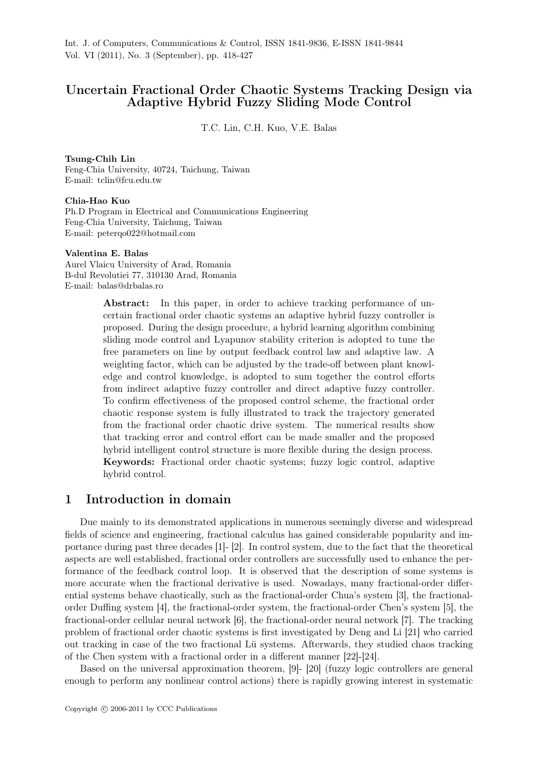# Uncertain Fractional Order Chaotic Systems Tracking Design via Adaptive Hybrid Fuzzy Sliding Mode Control

T.C. Lin, C.H. Kuo, V.E. Balas

#### Tsung-Chih Lin

Feng-Chia University, 40724, Taichung, Taiwan E-mail: tclin@fcu.edu.tw

#### Chia-Hao Kuo

Ph.D Program in Electrical and Communications Engineering Feng-Chia University, Taichung, Taiwan E-mail: peterqo022@hotmail.com

#### Valentina E. Balas

Aurel Vlaicu University of Arad, Romania B-dul Revolutiei 77, 310130 Arad, Romania E-mail: balas@drbalas.ro

> Abstract: In this paper, in order to achieve tracking performance of uncertain fractional order chaotic systems an adaptive hybrid fuzzy controller is proposed. During the design procedure, a hybrid learning algorithm combining sliding mode control and Lyapunov stability criterion is adopted to tune the free parameters on line by output feedback control law and adaptive law. A weighting factor, which can be adjusted by the trade-off between plant knowledge and control knowledge, is adopted to sum together the control efforts from indirect adaptive fuzzy controller and direct adaptive fuzzy controller. To confirm effectiveness of the proposed control scheme, the fractional order chaotic response system is fully illustrated to track the trajectory generated from the fractional order chaotic drive system. The numerical results show that tracking error and control effort can be made smaller and the proposed hybrid intelligent control structure is more flexible during the design process. Keywords: Fractional order chaotic systems; fuzzy logic control, adaptive hybrid control.

### 1 Introduction in domain

Due mainly to its demonstrated applications in numerous seemingly diverse and widespread fields of science and engineering, fractional calculus has gained considerable popularity and importance during past three decades [1]- [2]. In control system, due to the fact that the theoretical aspects are well established, fractional order controllers are successfully used to enhance the performance of the feedback control loop. It is observed that the description of some systems is more accurate when the fractional derivative is used. Nowadays, many fractional-order differential systems behave chaotically, such as the fractional-order Chua's system [3], the fractionalorder Duffing system [4], the fractional-order system, the fractional-order Chen's system [5], the fractional-order cellular neural network [6], the fractional-order neural network [7]. The tracking problem of fractional order chaotic systems is first investigated by Deng and Li [21] who carried out tracking in case of the two fractional Lü systems. Afterwards, they studied chaos tracking of the Chen system with a fractional order in a different manner [22]-[24].

Based on the universal approximation theorem, [9]- [20] (fuzzy logic controllers are general enough to perform any nonlinear control actions) there is rapidly growing interest in systematic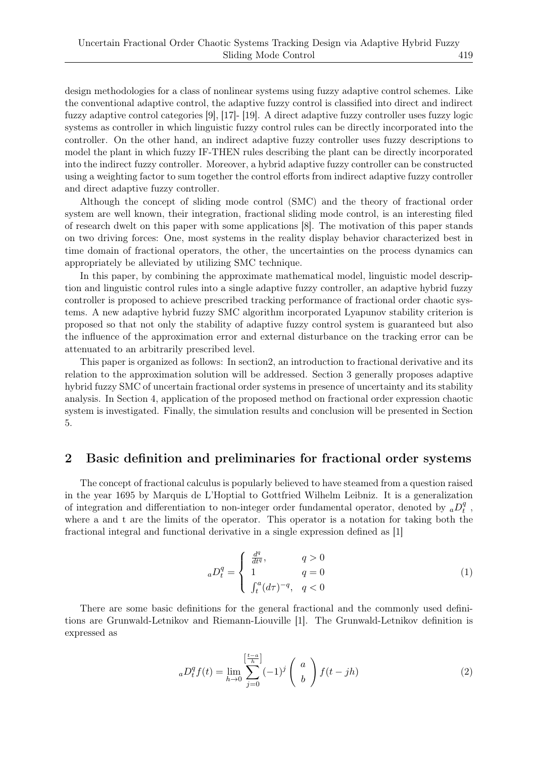design methodologies for a class of nonlinear systems using fuzzy adaptive control schemes. Like the conventional adaptive control, the adaptive fuzzy control is classified into direct and indirect fuzzy adaptive control categories [9], [17]- [19]. A direct adaptive fuzzy controller uses fuzzy logic systems as controller in which linguistic fuzzy control rules can be directly incorporated into the controller. On the other hand, an indirect adaptive fuzzy controller uses fuzzy descriptions to model the plant in which fuzzy IF-THEN rules describing the plant can be directly incorporated into the indirect fuzzy controller. Moreover, a hybrid adaptive fuzzy controller can be constructed using a weighting factor to sum together the control efforts from indirect adaptive fuzzy controller and direct adaptive fuzzy controller.

Although the concept of sliding mode control (SMC) and the theory of fractional order system are well known, their integration, fractional sliding mode control, is an interesting filed of research dwelt on this paper with some applications [8]. The motivation of this paper stands on two driving forces: One, most systems in the reality display behavior characterized best in time domain of fractional operators, the other, the uncertainties on the process dynamics can appropriately be alleviated by utilizing SMC technique.

In this paper, by combining the approximate mathematical model, linguistic model description and linguistic control rules into a single adaptive fuzzy controller, an adaptive hybrid fuzzy controller is proposed to achieve prescribed tracking performance of fractional order chaotic systems. A new adaptive hybrid fuzzy SMC algorithm incorporated Lyapunov stability criterion is proposed so that not only the stability of adaptive fuzzy control system is guaranteed but also the influence of the approximation error and external disturbance on the tracking error can be attenuated to an arbitrarily prescribed level.

This paper is organized as follows: In section2, an introduction to fractional derivative and its relation to the approximation solution will be addressed. Section 3 generally proposes adaptive hybrid fuzzy SMC of uncertain fractional order systems in presence of uncertainty and its stability analysis. In Section 4, application of the proposed method on fractional order expression chaotic system is investigated. Finally, the simulation results and conclusion will be presented in Section 5.

### 2 Basic definition and preliminaries for fractional order systems

The concept of fractional calculus is popularly believed to have steamed from a question raised in the year 1695 by Marquis de L'Hoptial to Gottfried Wilhelm Leibniz. It is a generalization of integration and differentiation to non-integer order fundamental operator, denoted by  ${_a}D_t^q$ *t* , where a and t are the limits of the operator. This operator is a notation for taking both the fractional integral and functional derivative in a single expression defined as [1]

$$
{}_{a}D_{t}^{q} = \begin{cases} \frac{d^{q}}{dt^{q}}, & q > 0\\ 1 & q = 0\\ \int_{t}^{a} (d\tau)^{-q}, & q < 0 \end{cases}
$$
 (1)

There are some basic definitions for the general fractional and the commonly used definitions are Grunwald-Letnikov and Riemann-Liouville [1]. The Grunwald-Letnikov definition is expressed as

$$
{}_{a}D_{t}^{q}f(t) = \lim_{h \to 0} \sum_{j=0}^{\left[\frac{t-a}{h}\right]} (-1)^{j} \begin{pmatrix} a \\ b \end{pmatrix} f(t - jh)
$$
 (2)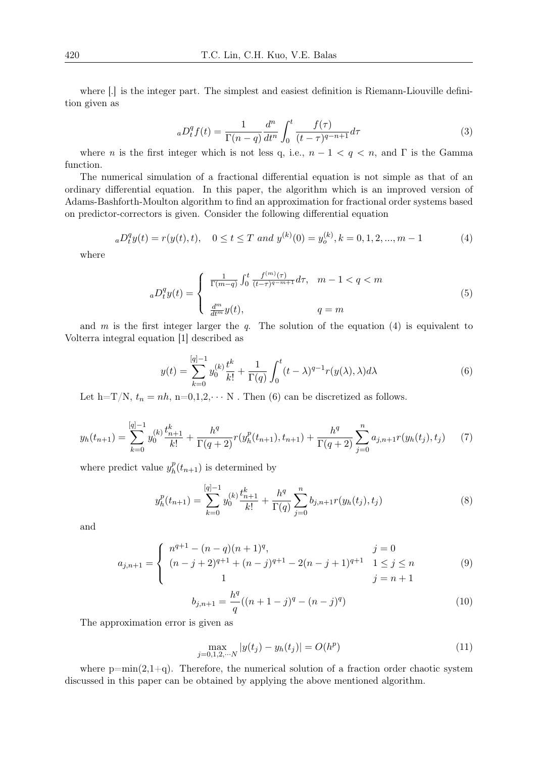where  $[.]$  is the integer part. The simplest and easiest definition is Riemann-Liouville definition given as

$$
{}_{a}D_{t}^{q}f(t) = \frac{1}{\Gamma(n-q)}\frac{d^{n}}{dt^{n}}\int_{0}^{t}\frac{f(\tau)}{(t-\tau)^{q-n+1}}d\tau
$$
\n(3)

where *n* is the first integer which is not less q, i.e.,  $n-1 < q < n$ , and  $\Gamma$  is the Gamma function.

The numerical simulation of a fractional differential equation is not simple as that of an ordinary differential equation. In this paper, the algorithm which is an improved version of Adams-Bashforth-Moulton algorithm to find an approximation for fractional order systems based on predictor-correctors is given. Consider the following differential equation

$$
{}_{a}D_{t}^{q}y(t) = r(y(t), t), \quad 0 \le t \le T \text{ and } y^{(k)}(0) = y_{o}^{(k)}, k = 0, 1, 2, ..., m - 1
$$
 (4)

where

$$
{}_{a}D_{t}^{q}y(t) = \begin{cases} \frac{1}{\Gamma(m-q)} \int_{0}^{t} \frac{f^{(m)}(\tau)}{(t-\tau)^{q-m+1}} d\tau, & m-1 < q < m\\ \frac{d^{m}}{dt^{m}}y(t), & q = m \end{cases}
$$
(5)

and *m* is the first integer larger the *q*. The solution of the equation (4) is equivalent to Volterra integral equation [1] described as

$$
y(t) = \sum_{k=0}^{[q]-1} y_0^{(k)} \frac{t^k}{k!} + \frac{1}{\Gamma(q)} \int_0^t (t - \lambda)^{q-1} r(y(\lambda), \lambda) d\lambda \tag{6}
$$

Let h=T/N,  $t_n = nh$ , n=0,1,2, $\cdots$  N. Then (6) can be discretized as follows.

$$
y_h(t_{n+1}) = \sum_{k=0}^{[q]-1} y_0^{(k)} \frac{t_{n+1}^k}{k!} + \frac{h^q}{\Gamma(q+2)} r(y_h^p(t_{n+1}), t_{n+1}) + \frac{h^q}{\Gamma(q+2)} \sum_{j=0}^n a_{j,n+1} r(y_h(t_j), t_j) \tag{7}
$$

where predict value  $y_k^p$  $h^p(h(t_{n+1})$  is determined by

$$
y_h^p(t_{n+1}) = \sum_{k=0}^{[q]-1} y_0^{(k)} \frac{t_{n+1}^k}{k!} + \frac{h^q}{\Gamma(q)} \sum_{j=0}^n b_{j,n+1} r(y_h(t_j), t_j)
$$
(8)

and

$$
a_{j,n+1} = \begin{cases} n^{q+1} - (n-q)(n+1)^q, & j = 0\\ (n-j+2)^{q+1} + (n-j)^{q+1} - 2(n-j+1)^{q+1} & 1 \le j \le n\\ 1 & j = n+1 \end{cases}
$$
(9)

$$
b_{j,n+1} = \frac{h^q}{q}((n+1-j)^q - (n-j)^q)
$$
 (10)

The approximation error is given as

$$
\max_{j=0,1,2,\cdots,N} |y(t_j) - y_h(t_j)| = O(h^p)
$$
\n(11)

where  $p=\min(2,1+q)$ . Therefore, the numerical solution of a fraction order chaotic system discussed in this paper can be obtained by applying the above mentioned algorithm.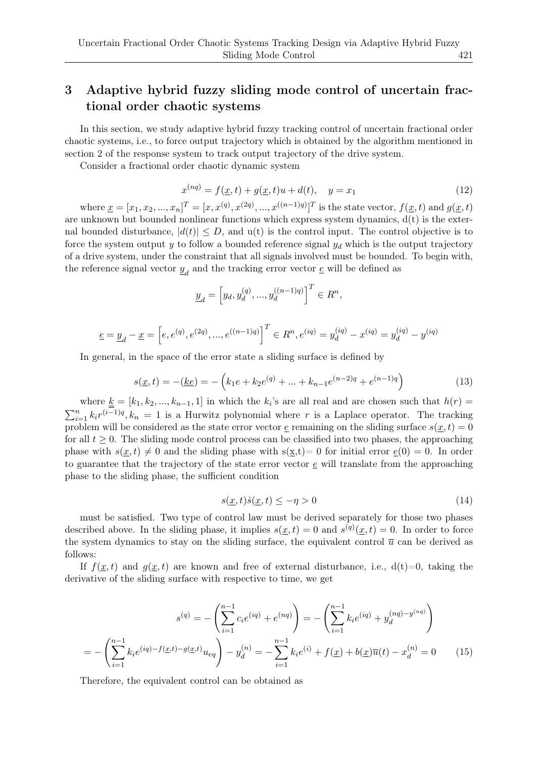# 3 Adaptive hybrid fuzzy sliding mode control of uncertain fractional order chaotic systems

In this section, we study adaptive hybrid fuzzy tracking control of uncertain fractional order chaotic systems, i.e., to force output trajectory which is obtained by the algorithm mentioned in section 2 of the response system to track output trajectory of the drive system.

Consider a fractional order chaotic dynamic system

$$
x^{(nq)} = f(\underline{x}, t) + g(\underline{x}, t)u + d(t), \quad y = x_1
$$
\n(12)

where  $\underline{x} = [x_1, x_2, ..., x_n]^T = [x, x^{(q)}, x^{(2q)}, ..., x^{((n-1)q)}]^T$  is the state vector,  $f(\underline{x}, t)$  and  $g(\underline{x}, t)$ are unknown but bounded nonlinear functions which express system dynamics,  $d(t)$  is the external bounded disturbance,  $|d(t)| \leq D$ , and  $u(t)$  is the control input. The control objective is to force the system output  $y$  to follow a bounded reference signal  $y_d$  which is the output trajectory of a drive system, under the constraint that all signals involved must be bounded. To begin with, the reference signal vector  $\underline{y}_d$  and the tracking error vector  $\underline{e}$  will be defined as

$$
\underline{y}_d=\left[y_d,y_d^{(q)},...,y_d^{((n-1)q)}\right]^T\in R^n,
$$

$$
\underline{e} = \underline{y}_d - \underline{x} = \left[ e, e^{(q)}, e^{(2q)}, ..., e^{((n-1)q)} \right]^T \in R^n, e^{(iq)} = y_d^{(iq)} - x^{(iq)} = y_d^{(iq)} - y^{(iq)}
$$

In general, in the space of the error state a sliding surface is defined by

$$
s(\underline{x}, t) = -(\underline{ke}) = -\left(k_1 e + k_2 e^{(q)} + \dots + k_{n-1} e^{(n-2)q} + e^{(n-1)q}\right)
$$
(13)

where  $\underline{k} = [k_1, k_2, ..., k_{n-1}, 1]$  in which the  $k_i$ 's are all real and are chosen such that  $h(r) =$  $\sum_{i=1}^{n} k_i r^{(i-1)q}, k_n = 1$  is a Hurwitz polynomial where *r* is a Laplace operator. The tracking problem will be considered as the state error vector  $\epsilon$  remaining on the sliding surface  $s(\underline{x},t) = 0$ for all  $t \geq 0$ . The sliding mode control process can be classified into two phases, the approaching phase with  $s(x,t) \neq 0$  and the sliding phase with  $s(x,t)= 0$  for initial error  $e(0) = 0$ . In order to guarantee that the trajectory of the state error vector *e* will translate from the approaching phase to the sliding phase, the sufficient condition

$$
s(\underline{x},t)\dot{s}(\underline{x},t) \le -\eta > 0\tag{14}
$$

must be satisfied. Two type of control law must be derived separately for those two phases described above. In the sliding phase, it implies  $s(\underline{x}, t) = 0$  and  $s^{(q)}(\underline{x}, t) = 0$ . In order to force the system dynamics to stay on the sliding surface, the equivalent control  $\bar{u}$  can be derived as follows:

If  $f(x,t)$  and  $g(x,t)$  are known and free of external disturbance, i.e.,  $d(t)=0$ , taking the derivative of the sliding surface with respective to time, we get

$$
s^{(q)} = -\left(\sum_{i=1}^{n-1} c_i e^{(iq)} + e^{(nq)}\right) = -\left(\sum_{i=1}^{n-1} k_i e^{(iq)} + y_d^{(nq)-y^{(nq)}}\right)
$$

$$
= -\left(\sum_{i=1}^{n-1} k_i e^{(iq)-f(\underline{x},t)-g(\underline{x},t)} u_{eq}\right) - y_d^{(n)} = -\sum_{i=1}^{n-1} k_i e^{(i)} + f(\underline{x}) + b(\underline{x}) \overline{u}(t) - x_d^{(n)} = 0 \qquad (15)
$$

Therefore, the equivalent control can be obtained as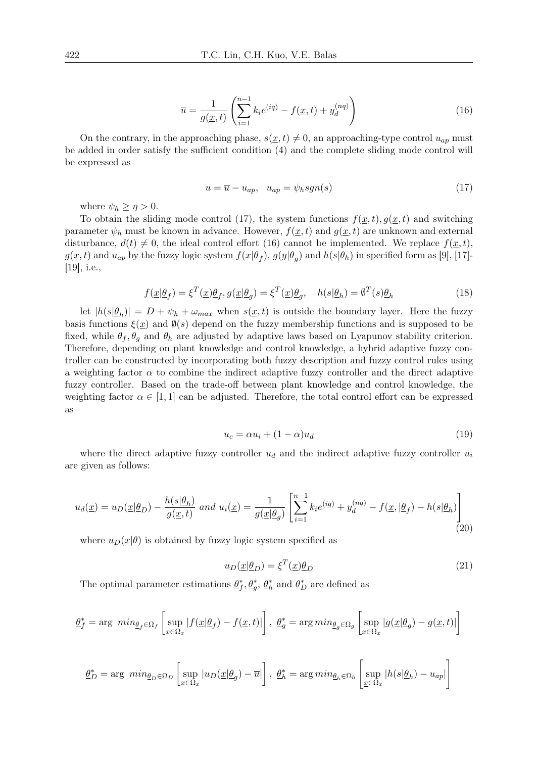$$
\overline{u} = \frac{1}{g(\underline{x}, t)} \left( \sum_{i=1}^{n-1} k_i e^{(iq)} - f(\underline{x}, t) + y_d^{(nq)} \right)
$$
(16)

On the contrary, in the approaching phase,  $s(x, t) \neq 0$ , an approaching-type control  $u_{ap}$  must be added in order satisfy the sufficient condition (4) and the complete sliding mode control will be expressed as

$$
u = \overline{u} - u_{ap}, \quad u_{ap} = \psi_h sgn(s) \tag{17}
$$

where  $\psi_h \geq \eta > 0$ .

To obtain the sliding mode control (17), the system functions  $f(x,t)$ ,  $g(x,t)$  and switching parameter  $\psi_h$  must be known in advance. However,  $f(x,t)$  and  $g(x,t)$  are unknown and external disturbance,  $d(t) \neq 0$ , the ideal control effort (16) cannot be implemented. We replace  $f(\underline{x},t)$ ,  $g(\underline{x},t)$  and  $u_{ap}$  by the fuzzy logic system  $f(\underline{x}|\underline{\theta}_f), g(\underline{y}|\underline{\theta}_g)$  and  $h(s|\theta_h)$  in specified form as [9], [17]-[19], i.e.,

$$
f(\underline{x}|\underline{\theta}_f) = \xi^T(\underline{x})\underline{\theta}_f, g(\underline{x}|\underline{\theta}_g) = \xi^T(\underline{x})\underline{\theta}_g, \quad h(s|\underline{\theta}_h) = \emptyset^T(s)\underline{\theta}_h
$$
\n(18)

let  $|h(s|\underline{\theta}_h)| = D + \psi_h + \omega_{max}$  when  $s(\underline{x},t)$  is outside the boundary layer. Here the fuzzy basis functions  $\xi(x)$  and  $\emptyset(s)$  depend on the fuzzy membership functions and is supposed to be fixed, while  $\theta_f$ ,  $\theta_g$  and  $\theta_h$  are adjusted by adaptive laws based on Lyapunov stability criterion. Therefore, depending on plant knowledge and control knowledge, a hybrid adaptive fuzzy controller can be constructed by incorporating both fuzzy description and fuzzy control rules using a weighting factor  $\alpha$  to combine the indirect adaptive fuzzy controller and the direct adaptive fuzzy controller. Based on the trade-off between plant knowledge and control knowledge, the weighting factor  $\alpha \in [1,1]$  can be adjusted. Therefore, the total control effort can be expressed as

$$
u_c = \alpha u_i + (1 - \alpha)u_d \tag{19}
$$

where the direct adaptive fuzzy controller  $u_d$  and the indirect adaptive fuzzy controller  $u_i$ are given as follows:

$$
u_d(\underline{x}) = u_D(\underline{x}|\underline{\theta}_D) - \frac{h(s|\underline{\theta}_h)}{g(\underline{x},t)} \text{ and } u_i(\underline{x}) = \frac{1}{g(\underline{x}|\underline{\theta}_g)} \left[ \sum_{i=1}^{n-1} k_i e^{(iq)} + y_d^{(nq)} - f(\underline{x}, |\underline{\theta}_f) - h(s|\underline{\theta}_h) \right] \tag{20}
$$

where  $u_D(x|\theta)$  is obtained by fuzzy logic system specified as

$$
u_D(\underline{x}|\underline{\theta}_D) = \xi^T(\underline{x})\underline{\theta}_D \tag{21}
$$

The optimal parameter estimations  $\underline{\theta}_f^*, \underline{\theta}_g^*, \underline{\theta}_h^*$  and  $\underline{\theta}_D^*$  are defined as

$$
\underline{\theta}_f^* = \arg\ min_{\underline{\theta}_f \in \Omega_f} \left[ \sup_{x \in \Omega_x} |f(\underline{x}|\underline{\theta}_f) - f(\underline{x}, t)| \right], \ \underline{\theta}_g^* = \arg\min_{\underline{\theta}_g \in \Omega_g} \left[ \sup_{x \in \Omega_x} |g(\underline{x}|\underline{\theta}_g) - g(\underline{x}, t)| \right]
$$

$$
\underline{\theta}_D^* = \arg\ min_{\underline{\theta}_D \in \Omega_D} \left[ \sup_{x \in \Omega_x} |u_D(\underline{x}|\underline{\theta}_g) - \overline{u}| \right], \ \underline{\theta}_h^* = \arg\min_{\underline{\theta}_h \in \Omega_h} \left[ \sup_{\underline{x} \in \Omega_{\underline{x}}} |h(s|\underline{\theta}_h) - u_{ap}| \right]
$$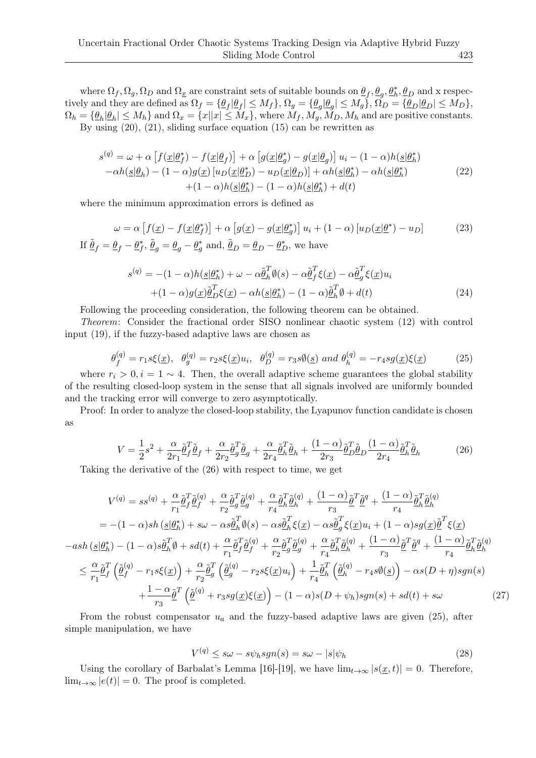where  $\Omega_f, \Omega_g, \Omega_D$  and  $\Omega_x$  are constraint sets of suitable bounds on  $\underline{\theta}_f, \underline{\theta}_g, \underline{\theta}_h^*, \underline{\theta}_D$  and x respectively and they are defined as  $\Omega_f = \{ \underline{\theta}_f | \underline{\theta}_f | \leq M_f \}, \Omega_g = \{ \underline{\theta}_g | \underline{\theta}_g | \leq M_g \}, \Omega_D = \{ \underline{\theta}_D | \underline{\theta}_D | \leq M_D \},$  $\Omega_h = \{ \underline{\theta}_h | \underline{\theta}_h | \leq M_h \}$  and  $\Omega_x = \{ x | |x| \leq M_x \}$ , where  $M_f, M_g, M_D, M_h$  and are positive constants. By using  $(20)$ ,  $(21)$ , sliding surface equation  $(15)$  can be rewritten as

$$
s^{(q)} = \omega + \alpha \left[ f(\underline{x}|\underline{\theta}_f^*) - f(\underline{x}|\underline{\theta}_f) \right] + \alpha \left[ g(\underline{x}|\underline{\theta}_g^*) - g(\underline{x}|\underline{\theta}_g) \right] u_i - (1 - \alpha)h(\underline{s}|\underline{\theta}_h^*)
$$
  
-
$$
\alpha h(\underline{s}|\underline{\theta}_h) - (1 - \alpha)g(\underline{x})\left[ u_D(\underline{x}|\underline{\theta}_D^*) - u_D(\underline{x}|\underline{\theta}_D) \right] + \alpha h(\underline{s}|\underline{\theta}_h^*) - \alpha h(\underline{s}|\underline{\theta}_h^*)
$$
  
+
$$
(1 - \alpha)h(\underline{s}|\underline{\theta}_h^*) - (1 - \alpha)h(\underline{s}|\underline{\theta}_h^*) + d(t)
$$
 (22)

where the minimum approximation errors is defined as

$$
\omega = \alpha \left[ f(\underline{x}) - f(\underline{x}|\underline{\theta}_f^*) \right] + \alpha \left[ g(\underline{x}) - g(\underline{x}|\underline{\theta}_g^*) \right] u_i + (1 - \alpha) \left[ u_D(\underline{x}|\underline{\theta}^*) - u_D \right]
$$
(23)  
If  $\tilde{\underline{\theta}}_f = \underline{\theta}_f - \underline{\theta}_f^*, \tilde{\underline{\theta}}_g = \underline{\theta}_g - \underline{\theta}_g^*$  and,  $\tilde{\underline{\theta}}_D = \underline{\theta}_D - \underline{\theta}_D^*$ , we have

$$
s^{(q)} = -(1 - \alpha)h(\underline{s}|\underline{\theta}_h^*) + \omega - \alpha \underline{\tilde{\theta}}_h^T \emptyset(s) - \alpha \underline{\tilde{\theta}}_f^T \xi(\underline{x}) - \alpha \underline{\tilde{\theta}}_g^T \xi(\underline{x}) u_i
$$
  
 
$$
+ (1 - \alpha)g(\underline{x})\underline{\tilde{\theta}}_D^T \xi(\underline{x}) - \alpha h(\underline{s}|\underline{\theta}_h^*) - (1 - \alpha)\underline{\tilde{\theta}}_h^T \emptyset + d(t) \tag{24}
$$

Following the proceeding consideration, the following theorem can be obtained.

*Theorem*: Consider the fractional order SISO nonlinear chaotic system (12) with control input (19), if the fuzzy-based adaptive laws are chosen as

$$
\theta_f^{(q)} = r_1 s \xi(\underline{x}), \quad \theta_g^{(q)} = r_2 s \xi(\underline{x}) u_i, \quad \theta_D^{(q)} = r_3 s \psi(\underline{s}) \text{ and } \theta_h^{(q)} = -r_4 s g(\underline{x}) \xi(\underline{x}) \tag{25}
$$

where  $r_i > 0, i = 1 \sim 4$ . Then, the overall adaptive scheme guarantees the global stability of the resulting closed-loop system in the sense that all signals involved are uniformly bounded and the tracking error will converge to zero asymptotically.

Proof: In order to analyze the closed-loop stability, the Lyapunov function candidate is chosen as

$$
V = \frac{1}{2}s^2 + \frac{\alpha}{2r_1}\tilde{\underline{\theta}}_f^T\tilde{\underline{\theta}}_f + \frac{\alpha}{2r_2}\tilde{\underline{\theta}}_g^T\tilde{\underline{\theta}}_g + \frac{\alpha}{2r_4}\tilde{\underline{\theta}}_h^T\tilde{\underline{\theta}}_h + \frac{(1-\alpha)}{2r_3}\tilde{\underline{\theta}}_D^T\tilde{\underline{\theta}}_D\frac{(1-\alpha)}{2r_4}\tilde{\underline{\theta}}_h^T\tilde{\underline{\theta}}_h \tag{26}
$$

Taking the derivative of the (26) with respect to time, we get

$$
V^{(q)} = ss^{(q)} + \frac{\alpha}{r_1} \tilde{\theta}_f^T \tilde{\theta}_f^{(q)} + \frac{\alpha}{r_2} \tilde{\theta}_g^T \tilde{\theta}_g^{(q)} + \frac{\alpha}{r_4} \tilde{\theta}_h^T \tilde{\theta}_h^{(q)} + \frac{(1-\alpha)}{r_3} \tilde{\theta}_f^T \tilde{\theta}_f^{(q)}
$$
  
\n
$$
= -(1-\alpha)sh(\underline{s}|\theta_h^*) + s\omega - \alpha s\tilde{\theta}_h^T \emptyset(s) - \alpha s\tilde{\theta}_h^T \xi(\underline{x}) - \alpha s\tilde{\theta}_g^T \xi(\underline{x})u_i + (1-\alpha)sg(\underline{x})\tilde{\theta}_f^T \xi(\underline{x})
$$
  
\n
$$
-ash(\underline{s}|\theta_h^*) - (1-\alpha)s\tilde{\theta}_h^T \emptyset + sd(t) + \frac{\alpha}{r_1} \tilde{\theta}_f^T \tilde{\theta}_f^{(q)} + \frac{\alpha}{r_2} \tilde{\theta}_g^T \tilde{\theta}_g^{(q)} + \frac{\alpha}{r_4} \tilde{\theta}_h^T \tilde{\theta}_h^{(q)} + \frac{(1-\alpha)}{r_3} \tilde{\theta}_f^T \tilde{\theta}_f^{(q)}
$$
  
\n
$$
\leq \frac{\alpha}{r_1} \tilde{\theta}_f^T (\tilde{\theta}_f^{(q)} - r_1 s\xi(\underline{x})) + \frac{\alpha}{r_2} \tilde{\theta}_g^T (\tilde{\theta}_g^{(q)} - r_2 s\xi(\underline{x})u_i) + \frac{1}{r_4} \tilde{\theta}_h^T (\tilde{\theta}_h^{(q)} - r_4 s\emptyset(\underline{s})) - \alpha s(D + \eta)sgn(s)
$$
  
\n
$$
+ \frac{1-\alpha}{r_3} \tilde{\theta}_f^T (\tilde{\theta}_g^{(q)} + r_3 s g(\underline{x})\xi(\underline{x})) - (1-\alpha)s(D + \psi_h)sgn(s) + sd(t) + s\omega
$$
 (27)

From the robust compensator *u<sup>a</sup>* and the fuzzy-based adaptive laws are given (25), after simple manipulation, we have

$$
V^{(q)} \leq s\omega - s\psi_h sgn(s) = s\omega - |s|\psi_h \tag{28}
$$

Using the corollary of Barbalat's Lemma [16]-[19], we have  $\lim_{t\to\infty} |s(x,t)| = 0$ . Therefore,  $\lim_{t\to\infty}$   $|e(t)|=0$ . The proof is completed.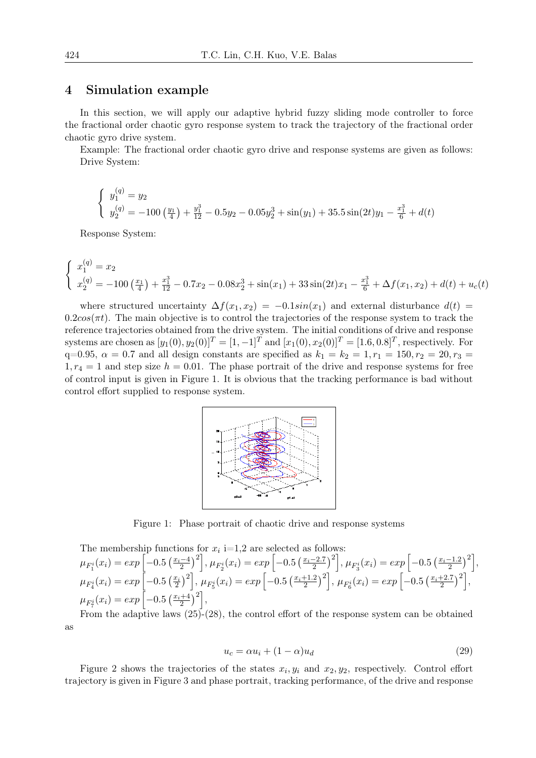#### 4 Simulation example

In this section, we will apply our adaptive hybrid fuzzy sliding mode controller to force the fractional order chaotic gyro response system to track the trajectory of the fractional order chaotic gyro drive system.

Example: The fractional order chaotic gyro drive and response systems are given as follows: Drive System:

$$
\begin{cases} y_1^{(q)} = y_2\\ y_2^{(q)} = -100 \left(\frac{y_1}{4}\right) + \frac{y_1^3}{12} - 0.5y_2 - 0.05y_2^3 + \sin(y_1) + 35.5 \sin(2t)y_1 - \frac{x_1^3}{6} + d(t) \end{cases}
$$

Response System:

$$
\begin{cases}\nx_1^{(q)} = x_2 \\
x_2^{(q)} = -100 \left(\frac{x_1}{4}\right) + \frac{x_1^3}{12} - 0.7x_2 - 0.08x_2^3 + \sin(x_1) + 33\sin(2t)x_1 - \frac{x_1^3}{6} + \Delta f(x_1, x_2) + d(t) + u_c(t)\n\end{cases}
$$

where structured uncertainty  $\Delta f(x_1, x_2) = -0.1 \sin(x_1)$  and external disturbance  $d(t) =$  $0.2\cos(\pi t)$ . The main objective is to control the trajectories of the response system to track the reference trajectories obtained from the drive system. The initial conditions of drive and response systems are chosen as  $[y_1(0), y_2(0)]^T = [1, -1]^T$  and  $[x_1(0), x_2(0)]^T = [1.6, 0.8]^T$ , respectively. For  $q=0.95, \ \alpha=0.7$  and all design constants are specified as  $k_1 = k_2 = 1, r_1 = 150, r_2 = 20, r_3 = 1.5$  $1, r_4 = 1$  and step size  $h = 0.01$ . The phase portrait of the drive and response systems for free of control input is given in Figure 1. It is obvious that the tracking performance is bad without control effort supplied to response system.



Figure 1: Phase portrait of chaotic drive and response systems

The membership functions for 
$$
x_i
$$
 i=1,2 are selected as follows:  
\n
$$
\mu_{F_1^i}(x_i) = exp\left[-0.5\left(\frac{x_i-4}{2}\right)^2\right], \mu_{F_2^i}(x_i) = exp\left[-0.5\left(\frac{x_i-2.7}{2}\right)^2\right], \mu_{F_3^i}(x_i) = exp\left[-0.5\left(\frac{x_i-1.2}{2}\right)^2\right], \mu_{F_4^i}(x_i) = exp\left[-0.5\left(\frac{x_i+2.7}{2}\right)^2\right], \mu_{F_4^i}(x_i) = exp\left[-0.5\left(\frac{x_i+2.7}{2}\right)^2\right], \mu_{F_4^i}(x_i) = exp\left[-0.5\left(\frac{x_i+2.7}{2}\right)^2\right], \mu_{F_4^i}(x_i) = exp\left[-0.5\left(\frac{x_i+4.2}{2}\right)^2\right],
$$

From the adaptive laws (25)-(28), the control effort of the response system can be obtained as

$$
u_c = \alpha u_i + (1 - \alpha)u_d \tag{29}
$$

Figure 2 shows the trajectories of the states  $x_i, y_i$  and  $x_2, y_2$ , respectively. Control effort trajectory is given in Figure 3 and phase portrait, tracking performance, of the drive and response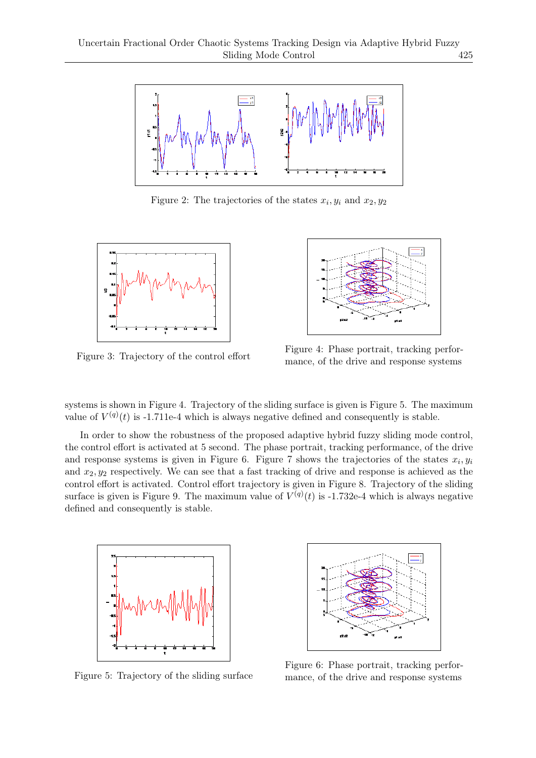

Figure 2: The trajectories of the states  $x_i, y_i$  and  $x_2, y_2$ 



Figure 3: Trajectory of the control effort



Figure 4: Phase portrait, tracking performance, of the drive and response systems

systems is shown in Figure 4. Trajectory of the sliding surface is given is Figure 5. The maximum value of  $V^{(q)}(t)$  is -1.711e-4 which is always negative defined and consequently is stable.

In order to show the robustness of the proposed adaptive hybrid fuzzy sliding mode control, the control effort is activated at 5 second. The phase portrait, tracking performance, of the drive and response systems is given in Figure 6. Figure 7 shows the trajectories of the states  $x_i, y_i$ and  $x_2, y_2$  respectively. We can see that a fast tracking of drive and response is achieved as the control effort is activated. Control effort trajectory is given in Figure 8. Trajectory of the sliding surface is given is Figure 9. The maximum value of  $V^{(q)}(t)$  is -1.732e-4 which is always negative defined and consequently is stable.



Figure 5: Trajectory of the sliding surface



Figure 6: Phase portrait, tracking performance, of the drive and response systems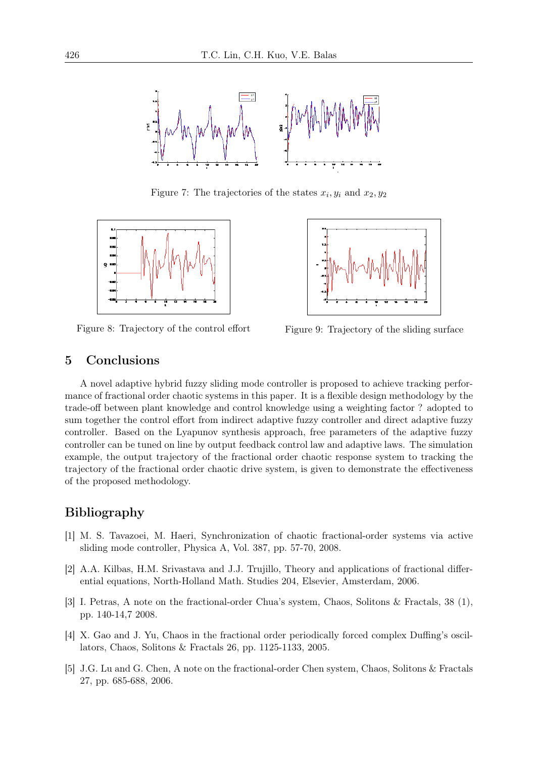

Figure 7: The trajectories of the states  $x_i, y_i$  and  $x_2, y_2$ 



Figure 8: Trajectory of the control effort Figure 9: Trajectory of the sliding surface



### 5 Conclusions

A novel adaptive hybrid fuzzy sliding mode controller is proposed to achieve tracking performance of fractional order chaotic systems in this paper. It is a flexible design methodology by the trade-off between plant knowledge and control knowledge using a weighting factor ? adopted to sum together the control effort from indirect adaptive fuzzy controller and direct adaptive fuzzy controller. Based on the Lyapunov synthesis approach, free parameters of the adaptive fuzzy controller can be tuned on line by output feedback control law and adaptive laws. The simulation example, the output trajectory of the fractional order chaotic response system to tracking the trajectory of the fractional order chaotic drive system, is given to demonstrate the effectiveness of the proposed methodology.

# Bibliography

- [1] M. S. Tavazoei, M. Haeri, Synchronization of chaotic fractional-order systems via active sliding mode controller, Physica A, Vol. 387, pp. 57-70, 2008.
- [2] A.A. Kilbas, H.M. Srivastava and J.J. Trujillo, Theory and applications of fractional differential equations, North-Holland Math. Studies 204, Elsevier, Amsterdam, 2006.
- [3] I. Petras, A note on the fractional-order Chua's system, Chaos, Solitons & Fractals, 38 (1), pp. 140-14,7 2008.
- [4] X. Gao and J. Yu, Chaos in the fractional order periodically forced complex Duffing's oscillators, Chaos, Solitons & Fractals 26, pp. 1125-1133, 2005.
- [5] J.G. Lu and G. Chen, A note on the fractional-order Chen system, Chaos, Solitons & Fractals 27, pp. 685-688, 2006.